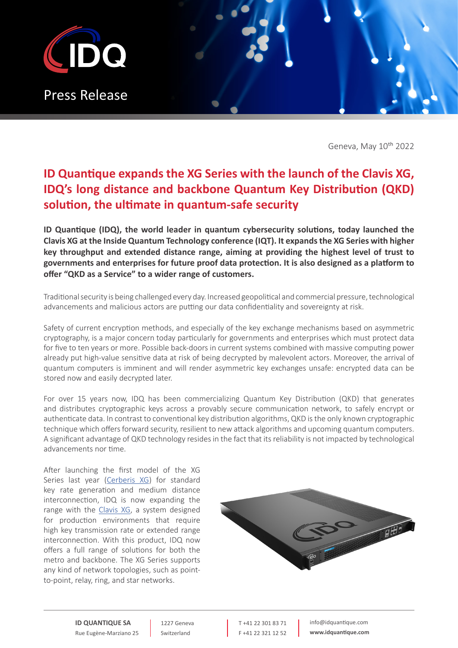

Geneva, May 10<sup>th</sup> 2022

## **ID Quantique expands the XG Series with the launch of the Clavis XG, IDQ's long distance and backbone Quantum Key Distribution (QKD) solution, the ultimate in quantum-safe security**

**ID Quantique (IDQ), the world leader in quantum cybersecurity solutions, today launched the Clavis XG at the Inside Quantum Technology conference (IQT). It expands the XG Series with higher key throughput and extended distance range, aiming at providing the highest level of trust to governments and enterprises for future proof data protection. It is also designed as a platform to offer "QKD as a Service" to a wider range of customers.**

Traditional security is being challenged every day. Increased geopolitical and commercial pressure, technological advancements and malicious actors are putting our data confidentiality and sovereignty at risk.

Safety of current encryption methods, and especially of the key exchange mechanisms based on asymmetric cryptography, is a major concern today particularly for governments and enterprises which must protect data for five to ten years or more. Possible back-doors in current systems combined with massive computing power already put high-value sensitive data at risk of being decrypted by malevolent actors. Moreover, the arrival of quantum computers is imminent and will render asymmetric key exchanges unsafe: encrypted data can be stored now and easily decrypted later.

For over 15 years now, IDQ has been commercializing Quantum Key Distribution (QKD) that generates and distributes cryptographic keys across a provably secure communication network, to safely encrypt or authenticate data. In contrast to conventional key distribution algorithms, QKD is the only known cryptographic technique which offers forward security, resilient to new attack algorithms and upcoming quantum computers. A significant advantage of QKD technology resides in the fact that its reliability is not impacted by technological advancements nor time.

After launching the first model of the XG Series last year ([Cerberis XG\)](https://www.idquantique.com/quantum-safe-security/products/cerberis-xg-qkd-system/) for standard key rate generation and medium distance interconnection, IDQ is now expanding the range with the [Clavis XG,](https://www.idquantique.com/quantum-safe-security/products/clavis-xg-qkd-system/) a system designed for production environments that require high key transmission rate or extended range interconnection. With this product, IDQ now offers a full range of solutions for both the metro and backbone. The XG Series supports any kind of network topologies, such as pointto-point, relay, ring, and star networks.



**ID QUANTIQUE SA** Rue Eugène-Marziano 25

1227 Geneva Switzerland

T +41 22 301 83 71 F +41 22 321 12 52 info@idquantique.com **www.idquantique.com**